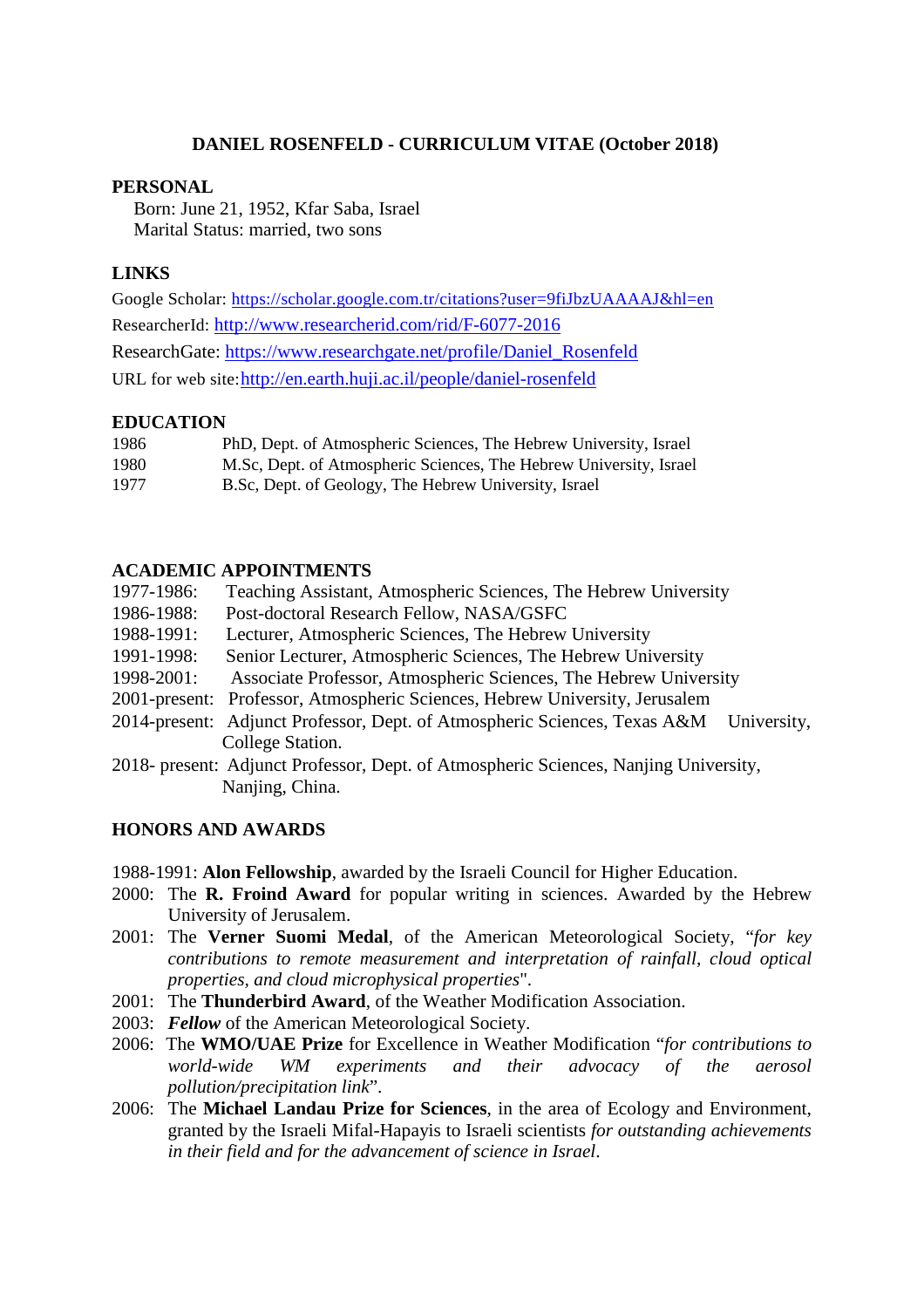# **DANIEL ROSENFELD - CURRICULUM VITAE (October 2018)**

### **PERSONAL**

Born: June 21, 1952, Kfar Saba, Israel Marital Status: married, two sons

# **LINKS**

Google Scholar:<https://scholar.google.com.tr/citations?user=9fiJbzUAAAAJ&hl=en> ResearcherId:<http://www.researcherid.com/rid/F-6077-2016> ResearchGate: [https://www.researchgate.net/profile/Daniel\\_Rosenfeld](https://www.researchgate.net/profile/Daniel_Rosenfeld) URL for web site[:http://en.earth.huji.ac.il/people/daniel-rosenfeld](http://en.earth.huji.ac.il/people/daniel-rosenfeld)

### **EDUCATION**

| 1986 | PhD, Dept. of Atmospheric Sciences, The Hebrew University, Israel  |
|------|--------------------------------------------------------------------|
| 1980 | M.Sc, Dept. of Atmospheric Sciences, The Hebrew University, Israel |
| 1977 | B.Sc, Dept. of Geology, The Hebrew University, Israel              |

# **ACADEMIC APPOINTMENTS**

| 1977-1986: | Teaching Assistant, Atmospheric Sciences, The Hebrew University                       |
|------------|---------------------------------------------------------------------------------------|
| 1986-1988: | Post-doctoral Research Fellow, NASA/GSFC                                              |
| 1988-1991: | Lecturer, Atmospheric Sciences, The Hebrew University                                 |
| 1991-1998: | Senior Lecturer, Atmospheric Sciences, The Hebrew University                          |
| 1998-2001: | Associate Professor, Atmospheric Sciences, The Hebrew University                      |
|            | 2001-present: Professor, Atmospheric Sciences, Hebrew University, Jerusalem           |
|            | 2014-present: Adjunct Professor, Dept. of Atmospheric Sciences, Texas A&M University, |
|            | College Station.                                                                      |
|            | 2018- present: Adjunct Professor, Dept. of Atmospheric Sciences, Nanjing University,  |
|            | Nanjing, China.                                                                       |

# **HONORS AND AWARDS**

- 1988-1991: **Alon Fellowship**, awarded by the Israeli Council for Higher Education.
- 2000: The **R. Froind Award** for popular writing in sciences. Awarded by the Hebrew University of Jerusalem.
- 2001: The **Verner Suomi Medal**, of the American Meteorological Society, "*for key contributions to remote measurement and interpretation of rainfall, cloud optical properties, and cloud microphysical properties*".
- 2001: The **Thunderbird Award**, of the Weather Modification Association.
- 2003: *Fellow* of the American Meteorological Society.
- 2006: The **WMO/UAE Prize** for Excellence in Weather Modification "*for contributions to world-wide WM experiments and their advocacy of the aerosol pollution/precipitation link*".
- 2006: The **Michael Landau Prize for Sciences**, in the area of Ecology and Environment, granted by the Israeli Mifal-Hapayis to Israeli scientists *for outstanding achievements in their field and for the advancement of science in Israel*.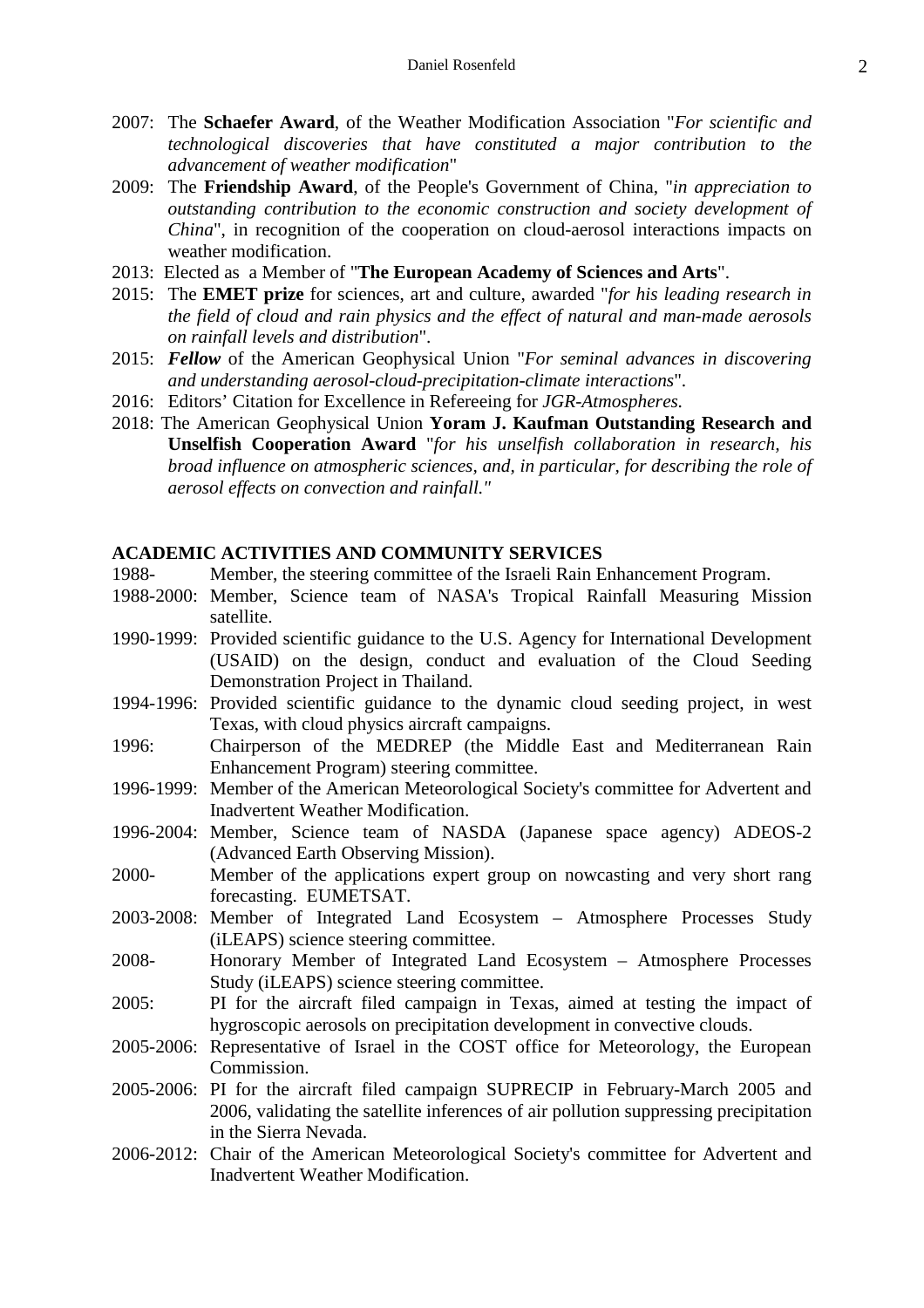- 2007: The **Schaefer Award**, of the Weather Modification Association "*For scientific and technological discoveries that have constituted a major contribution to the advancement of weather modification*"
- 2009: The **Friendship Award**, of the People's Government of China, "*in appreciation to outstanding contribution to the economic construction and society development of China*", in recognition of the cooperation on cloud-aerosol interactions impacts on weather modification.
- 2013: Elected as a Member of "**The European Academy of Sciences and Arts**".
- 2015: The **EMET prize** for sciences, art and culture, awarded "*for his leading research in the field of cloud and rain physics and the effect of natural and man-made aerosols on rainfall levels and distribution*".
- 2015: *Fellow* of the American Geophysical Union "*For seminal advances in discovering and understanding aerosol-cloud-precipitation-climate interactions*".
- 2016: Editors' Citation for Excellence in Refereeing for *JGR-Atmospheres.*
- 2018: The American Geophysical Union **Yoram J. Kaufman Outstanding Research and Unselfish Cooperation Award** "*for his unselfish collaboration in research, his broad influence on atmospheric sciences, and, in particular, for describing the role of aerosol effects on convection and rainfall."*

### **ACADEMIC ACTIVITIES AND COMMUNITY SERVICES**

- 1988- Member, the steering committee of the Israeli Rain Enhancement Program.
- 1988-2000: Member, Science team of NASA's Tropical Rainfall Measuring Mission satellite.
- 1990-1999: Provided scientific guidance to the U.S. Agency for International Development (USAID) on the design, conduct and evaluation of the Cloud Seeding Demonstration Project in Thailand.
- 1994-1996: Provided scientific guidance to the dynamic cloud seeding project, in west Texas, with cloud physics aircraft campaigns.
- 1996: Chairperson of the MEDREP (the Middle East and Mediterranean Rain Enhancement Program) steering committee.
- 1996-1999: Member of the American Meteorological Society's committee for Advertent and Inadvertent Weather Modification.
- 1996-2004: Member, Science team of NASDA (Japanese space agency) ADEOS-2 (Advanced Earth Observing Mission).
- 2000- Member of the applications expert group on nowcasting and very short rang forecasting. EUMETSAT.
- 2003-2008: Member of Integrated Land Ecosystem Atmosphere Processes Study (iLEAPS) science steering committee.
- 2008- Honorary Member of Integrated Land Ecosystem Atmosphere Processes Study (iLEAPS) science steering committee.
- 2005: PI for the aircraft filed campaign in Texas, aimed at testing the impact of hygroscopic aerosols on precipitation development in convective clouds.
- 2005-2006: Representative of Israel in the COST office for Meteorology, the European Commission.
- 2005-2006: PI for the aircraft filed campaign SUPRECIP in February-March 2005 and 2006, validating the satellite inferences of air pollution suppressing precipitation in the Sierra Nevada.
- 2006-2012: Chair of the American Meteorological Society's committee for Advertent and Inadvertent Weather Modification.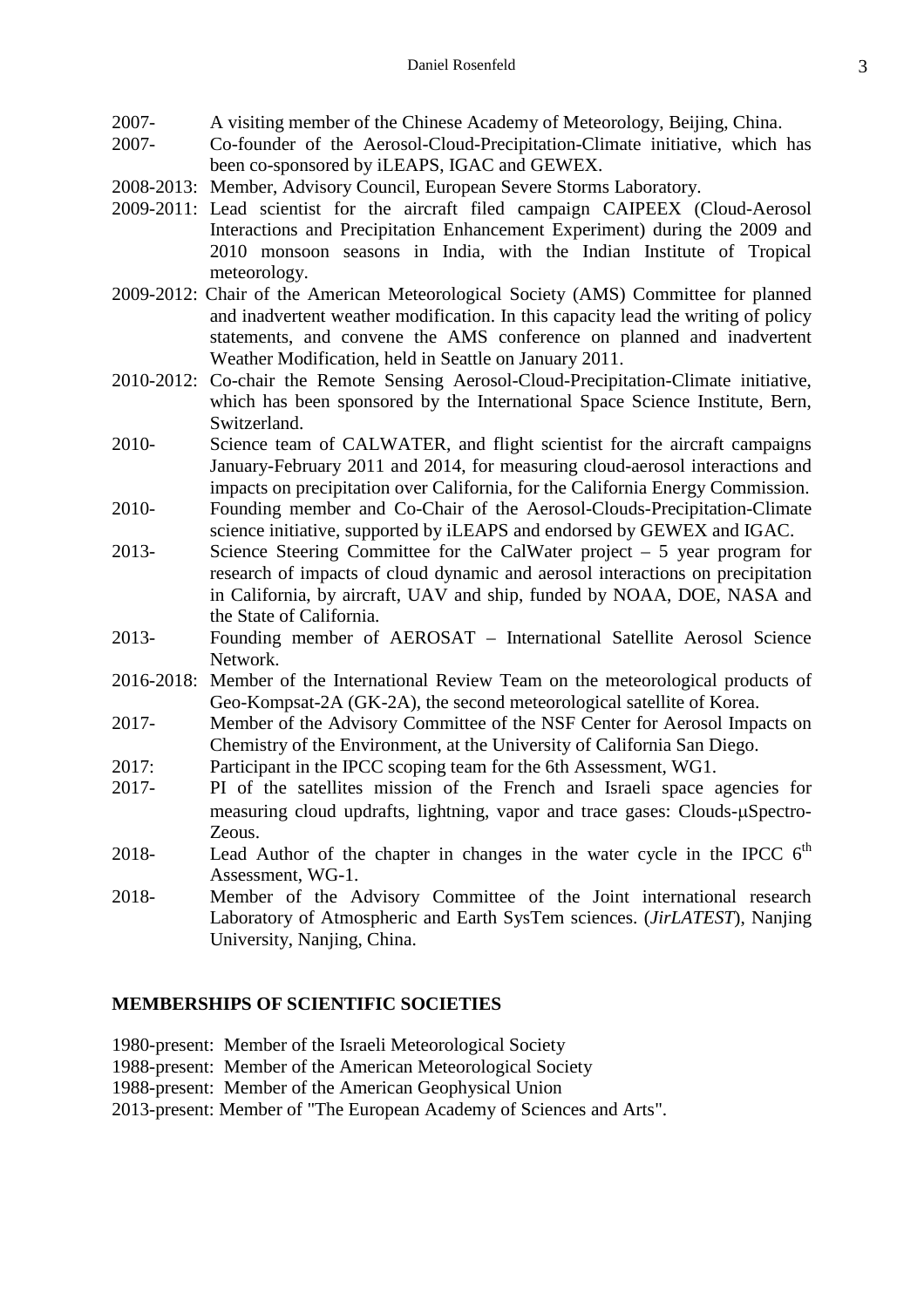- 2007- A visiting member of the Chinese Academy of Meteorology, Beijing, China.
- 2007- Co-founder of the Aerosol-Cloud-Precipitation-Climate initiative, which has been co-sponsored by iLEAPS, IGAC and GEWEX.
- 2008-2013: Member, Advisory Council, European Severe Storms Laboratory.
- 2009-2011: Lead scientist for the aircraft filed campaign CAIPEEX (Cloud-Aerosol Interactions and Precipitation Enhancement Experiment) during the 2009 and 2010 monsoon seasons in India, with the Indian Institute of Tropical meteorology.
- 2009-2012: Chair of the American Meteorological Society (AMS) Committee for planned and inadvertent weather modification. In this capacity lead the writing of policy statements, and convene the AMS conference on planned and inadvertent Weather Modification, held in Seattle on January 2011.
- 2010-2012: Co-chair the Remote Sensing Aerosol-Cloud-Precipitation-Climate initiative, which has been sponsored by the International Space Science Institute, Bern, Switzerland.
- 2010- Science team of CALWATER, and flight scientist for the aircraft campaigns January-February 2011 and 2014, for measuring cloud-aerosol interactions and impacts on precipitation over California, for the California Energy Commission.
- 2010- Founding member and Co-Chair of the Aerosol-Clouds-Precipitation-Climate science initiative, supported by iLEAPS and endorsed by GEWEX and IGAC.
- 2013- Science Steering Committee for the CalWater project 5 year program for research of impacts of cloud dynamic and aerosol interactions on precipitation in California, by aircraft, UAV and ship, funded by NOAA, DOE, NASA and the State of California.
- 2013- Founding member of AEROSAT International Satellite Aerosol Science Network.
- 2016-2018: Member of the International Review Team on the meteorological products of Geo-Kompsat-2A (GK-2A), the second meteorological satellite of Korea.
- 2017- Member of the Advisory Committee of the NSF Center for Aerosol Impacts on Chemistry of the Environment, at the University of California San Diego.
- 2017: Participant in the IPCC scoping team for the 6th Assessment, WG1.
- 2017- PI of the satellites mission of the French and Israeli space agencies for measuring cloud updrafts, lightning, vapor and trace gases: Clouds-µSpectro-Zeous.
- 2018- Lead Author of the chapter in changes in the water cycle in the IPCC  $6<sup>th</sup>$ Assessment, WG-1.
- 2018- Member of the Advisory Committee of the Joint international research Laboratory of Atmospheric and Earth SysTem sciences. (*JirLATEST*), Nanjing University, Nanjing, China.

# **MEMBERSHIPS OF SCIENTIFIC SOCIETIES**

- 1980-present: Member of the Israeli Meteorological Society
- 1988-present: Member of the American Meteorological Society
- 1988-present: Member of the American Geophysical Union
- 2013-present: Member of "The European Academy of Sciences and Arts".